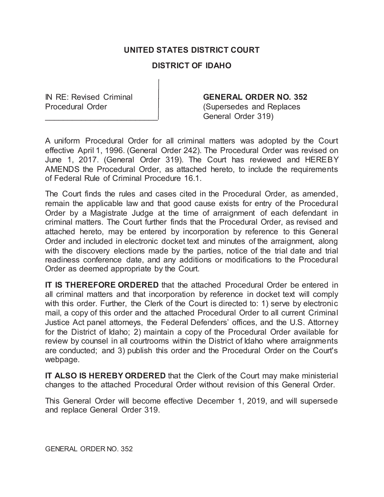# **UNITED STATES DISTRICT COURT**

# **DISTRICT OF IDAHO**

## IN RE: Revised Criminal **GENERAL ORDER NO. 352**

Procedural Order (Supersedes and Replaces General Order 319)

A uniform Procedural Order for all criminal matters was adopted by the Court effective April 1, 1996. (General Order 242). The Procedural Order was revised on June 1, 2017. (General Order 319). The Court has reviewed and HEREBY AMENDS the Procedural Order, as attached hereto, to include the requirements of Federal Rule of Criminal Procedure 16.1.

The Court finds the rules and cases cited in the Procedural Order, as amended, remain the applicable law and that good cause exists for entry of the Procedural Order by a Magistrate Judge at the time of arraignment of each defendant in criminal matters. The Court further finds that the Procedural Order, as revised and attached hereto, may be entered by incorporation by reference to this General Order and included in electronic docket text and minutes of the arraignment, along with the discovery elections made by the parties, notice of the trial date and trial readiness conference date, and any additions or modifications to the Procedural Order as deemed appropriate by the Court.

**IT IS THEREFORE ORDERED** that the attached Procedural Order be entered in all criminal matters and that incorporation by reference in docket text will comply with this order. Further, the Clerk of the Court is directed to: 1) serve by electronic mail, a copy of this order and the attached Procedural Order to all current Criminal Justice Act panel attorneys, the Federal Defenders' offices, and the U.S. Attorney for the District of Idaho; 2) maintain a copy of the Procedural Order available for review by counsel in all courtrooms within the District of Idaho where arraignments are conducted; and 3) publish this order and the Procedural Order on the Court's webpage.

**IT ALSO IS HEREBY ORDERED** that the Clerk of the Court may make ministerial changes to the attached Procedural Order without revision of this General Order.

This General Order will become effective December 1, 2019, and will supersede and replace General Order 319.

GENERAL ORDER NO. 352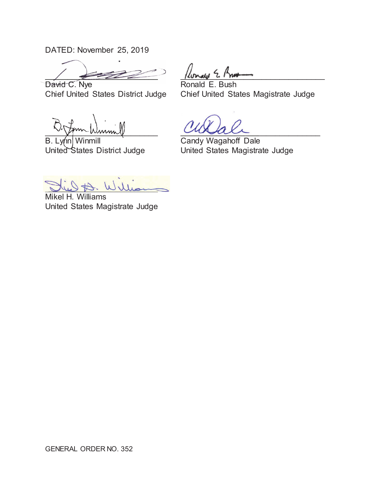DATED: November 25, 2019

 $\frac{1}{2}$   $\frac{1}{2}$   $\frac{1}{2}$   $\frac{1}{2}$   $\frac{1}{2}$   $\frac{1}{2}$   $\frac{1}{2}$   $\frac{1}{2}$  $\sqrt{2\pi}$ David C. Nye

 $|$ lonale 2  $|$ m

Ronald E. Bush Chief United States District Judge Chief United States Magistrate Judge

 $\sim$  som wunnel mumm winning

B. Lynn Winmill **Candy Wagahoff Dale** B. Lynn Winmill United States District Judge

\_\_\_\_\_\_\_\_\_\_\_\_\_\_\_\_\_\_

United States Magistrate Judge

Jue A. William

Mikel H. Williams United States Magistrate Judge

GENERAL ORDER NO. 352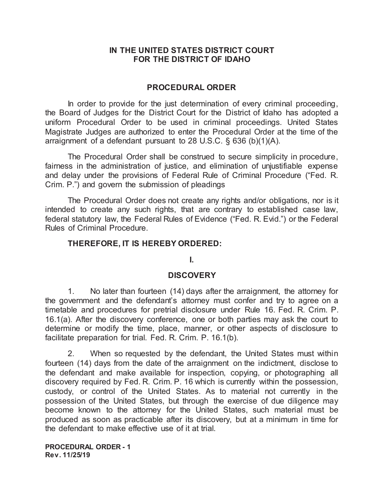## **IN THE UNITED STATES DISTRICT COURT FOR THE DISTRICT OF IDAHO**

## **PROCEDURAL ORDER**

In order to provide for the just determination of every criminal proceeding, the Board of Judges for the District Court for the District of Idaho has adopted a uniform Procedural Order to be used in criminal proceedings. United States Magistrate Judges are authorized to enter the Procedural Order at the time of the arraignment of a defendant pursuant to 28 U.S.C. § 636 (b)(1)(A).

The Procedural Order shall be construed to secure simplicity in procedure, fairness in the administration of justice, and elimination of unjustifiable expense and delay under the provisions of Federal Rule of Criminal Procedure ("Fed. R. Crim. P.") and govern the submission of pleadings

The Procedural Order does not create any rights and/or obligations, nor is it intended to create any such rights, that are contrary to established case law, federal statutory law, the Federal Rules of Evidence ("Fed. R. Evid.") or the Federal Rules of Criminal Procedure.

## **THEREFORE, IT IS HEREBY ORDERED:**

### **I.**

## **DISCOVERY**

1. No later than fourteen (14) days after the arraignment, the attorney for the government and the defendant's attorney must confer and try to agree on a timetable and procedures for pretrial disclosure under Rule 16. Fed. R. Crim. P. 16.1(a). After the discovery conference, one or both parties may ask the court to determine or modify the time, place, manner, or other aspects of disclosure to facilitate preparation for trial. Fed. R. Crim. P. 16.1(b).

2. When so requested by the defendant, the United States must within fourteen (14) days from the date of the arraignment on the indictment, disclose to the defendant and make available for inspection, copying, or photographing all discovery required by Fed. R. Crim. P. 16 which is currently within the possession, custody, or control of the United States. As to material not currently in the possession of the United States, but through the exercise of due diligence may become known to the attorney for the United States, such material must be produced as soon as practicable after its discovery, but at a minimum in time for the defendant to make effective use of it at trial.

**PROCEDURAL ORDER - 1 Rev. 11/25/19**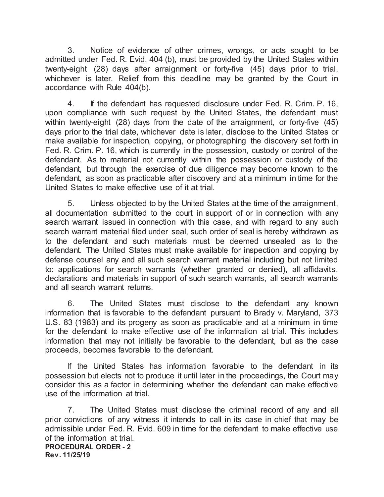3. Notice of evidence of other crimes, wrongs, or acts sought to be admitted under Fed. R. Evid. 404 (b), must be provided by the United States within twenty-eight (28) days after arraignment or forty-five (45) days prior to trial, whichever is later. Relief from this deadline may be granted by the Court in accordance with Rule 404(b).

4. If the defendant has requested disclosure under Fed. R. Crim. P. 16, upon compliance with such request by the United States, the defendant must within twenty-eight (28) days from the date of the arraignment, or forty-five (45) days prior to the trial date, whichever date is later, disclose to the United States or make available for inspection, copying, or photographing the discovery set forth in Fed. R. Crim. P. 16, which is currently in the possession, custody or control of the defendant. As to material not currently within the possession or custody of the defendant, but through the exercise of due diligence may become known to the defendant, as soon as practicable after discovery and at a minimum in time for the United States to make effective use of it at trial.

5. Unless objected to by the United States at the time of the arraignment, all documentation submitted to the court in support of or in connection with any search warrant issued in connection with this case, and with regard to any such search warrant material filed under seal, such order of seal is hereby withdrawn as to the defendant and such materials must be deemed unsealed as to the defendant. The United States must make available for inspection and copying by defense counsel any and all such search warrant material including but not limited to: applications for search warrants (whether granted or denied), all affidavits, declarations and materials in support of such search warrants, all search warrants and all search warrant returns.

6. The United States must disclose to the defendant any known information that is favorable to the defendant pursuant to Brady v. Maryland, 373 U.S. 83 (1983) and its progeny as soon as practicable and at a minimum in time for the defendant to make effective use of the information at trial. This includes information that may not initially be favorable to the defendant, but as the case proceeds, becomes favorable to the defendant.

If the United States has information favorable to the defendant in its possession but elects not to produce it until later in the proceedings, the Court may consider this as a factor in determining whether the defendant can make effective use of the information at trial.

**PROCEDURAL ORDER - 2 Rev. 11/25/19**  7. The United States must disclose the criminal record of any and all prior convictions of any witness it intends to call in its case in chief that may be admissible under Fed. R. Evid. 609 in time for the defendant to make effective use of the information at trial.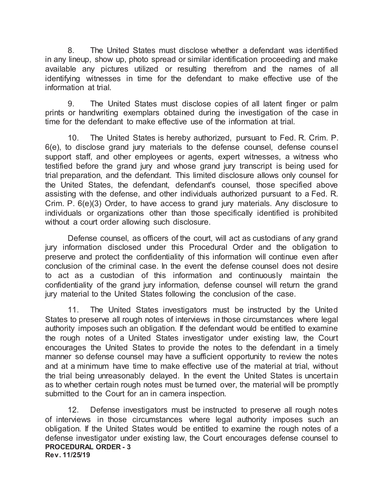8. The United States must disclose whether a defendant was identified in any lineup, show up, photo spread or similar identification proceeding and make available any pictures utilized or resulting therefrom and the names of all identifying witnesses in time for the defendant to make effective use of the information at trial.

9. The United States must disclose copies of all latent finger or palm prints or handwriting exemplars obtained during the investigation of the case in time for the defendant to make effective use of the information at trial.

10. The United States is hereby authorized, pursuant to Fed. R. Crim. P. 6(e), to disclose grand jury materials to the defense counsel, defense counsel support staff, and other employees or agents, expert witnesses, a witness who testified before the grand jury and whose grand jury transcript is being used for trial preparation, and the defendant. This limited disclosure allows only counsel for the United States, the defendant, defendant's counsel, those specified above assisting with the defense, and other individuals authorized pursuant to a Fed. R. Crim. P. 6(e)(3) Order, to have access to grand jury materials. Any disclosure to individuals or organizations other than those specifically identified is prohibited without a court order allowing such disclosure.

Defense counsel, as officers of the court, will act as custodians of any grand jury information disclosed under this Procedural Order and the obligation to preserve and protect the confidentiality of this information will continue even after conclusion of the criminal case. In the event the defense counsel does not desire to act as a custodian of this information and continuously maintain the confidentiality of the grand jury information, defense counsel will return the grand jury material to the United States following the conclusion of the case.

11. The United States investigators must be instructed by the United States to preserve all rough notes of interviews in those circumstances where legal authority imposes such an obligation. If the defendant would be entitled to examine the rough notes of a United States investigator under existing law, the Court encourages the United States to provide the notes to the defendant in a timely manner so defense counsel may have a sufficient opportunity to review the notes and at a minimum have time to make effective use of the material at trial, without the trial being unreasonably delayed. In the event the United States is uncertain as to whether certain rough notes must be turned over, the material will be promptly submitted to the Court for an in camera inspection.

**PROCEDURAL ORDER - 3 Rev. 11/25/19**  12. Defense investigators must be instructed to preserve all rough notes of interviews in those circumstances where legal authority imposes such an obligation. If the United States would be entitled to examine the rough notes of a defense investigator under existing law, the Court encourages defense counsel to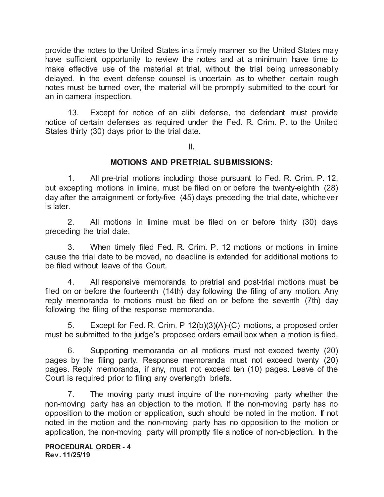provide the notes to the United States in a timely manner so the United States may have sufficient opportunity to review the notes and at a minimum have time to make effective use of the material at trial, without the trial being unreasonably delayed. In the event defense counsel is uncertain as to whether certain rough notes must be turned over, the material will be promptly submitted to the court for an in camera inspection.

13. Except for notice of an alibi defense, the defendant must provide notice of certain defenses as required under the Fed. R. Crim. P. to the United States thirty (30) days prior to the trial date.

#### **II.**

## **MOTIONS AND PRETRIAL SUBMISSIONS:**

1. All pre-trial motions including those pursuant to Fed. R. Crim. P. 12, but excepting motions in limine, must be filed on or before the twenty-eighth (28) day after the arraignment or forty-five (45) days preceding the trial date, whichever is later.

2. All motions in limine must be filed on or before thirty (30) days preceding the trial date.

3. When timely filed Fed. R. Crim. P. 12 motions or motions in limine cause the trial date to be moved, no deadline is extended for additional motions to be filed without leave of the Court.

4. All responsive memoranda to pretrial and post-trial motions must be filed on or before the fourteenth (14th) day following the filing of any motion. Any reply memoranda to motions must be filed on or before the seventh (7th) day following the filing of the response memoranda.

5. Except for Fed. R. Crim. P 12(b)(3)(A)-(C) motions, a proposed order must be submitted to the judge's proposed orders email box when a motion is filed.

6. Supporting memoranda on all motions must not exceed twenty (20) pages by the filing party. Response memoranda must not exceed twenty (20) pages. Reply memoranda, if any, must not exceed ten (10) pages. Leave of the Court is required prior to filing any overlength briefs.

7. The moving party must inquire of the non-moving party whether the non-moving party has an objection to the motion. If the non-moving party has no opposition to the motion or application, such should be noted in the motion. If not noted in the motion and the non-moving party has no opposition to the motion or application, the non-moving party will promptly file a notice of non-objection. In the

**PROCEDURAL ORDER - 4 Rev. 11/25/19**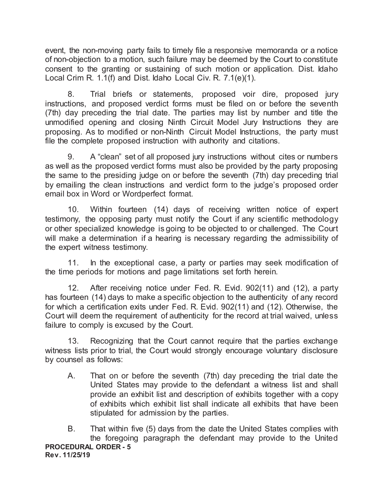event, the non-moving party fails to timely file a responsive memoranda or a notice of non-objection to a motion, such failure may be deemed by the Court to constitute consent to the granting or sustaining of such motion or application. Dist. Idaho Local Crim R. 1.1(f) and Dist. Idaho Local Civ. R. 7.1(e)(1).

8. Trial briefs or statements, proposed voir dire, proposed jury instructions, and proposed verdict forms must be filed on or before the seventh (7th) day preceding the trial date. The parties may list by number and title the unmodified opening and closing Ninth Circuit Model Jury Instructions they are proposing. As to modified or non-Ninth Circuit Model Instructions, the party must file the complete proposed instruction with authority and citations.

9. A "clean" set of all proposed jury instructions without cites or numbers as well as the proposed verdict forms must also be provided by the party proposing the same to the presiding judge on or before the seventh (7th) day preceding trial by emailing the clean instructions and verdict form to the judge's proposed order email box in Word or Wordperfect format.

10. Within fourteen (14) days of receiving written notice of expert testimony, the opposing party must notify the Court if any scientific methodology or other specialized knowledge is going to be objected to or challenged. The Court will make a determination if a hearing is necessary regarding the admissibility of the expert witness testimony.

11. In the exceptional case, a party or parties may seek modification of the time periods for motions and page limitations set forth herein.

12. After receiving notice under Fed. R. Evid. 902(11) and (12), a party has fourteen (14) days to make a specific objection to the authenticity of any record for which a certification exits under Fed. R. Evid. 902(11) and (12). Otherwise, the Court will deem the requirement of authenticity for the record at trial waived, unless failure to comply is excused by the Court.

13. Recognizing that the Court cannot require that the parties exchange witness lists prior to trial, the Court would strongly encourage voluntary disclosure by counsel as follows:

A. That on or before the seventh (7th) day preceding the trial date the United States may provide to the defendant a witness list and shall provide an exhibit list and description of exhibits together with a copy of exhibits which exhibit list shall indicate all exhibits that have been stipulated for admission by the parties.

**PROCEDURAL ORDER - 5 Rev. 11/25/19**  B. That within five (5) days from the date the United States complies with the foregoing paragraph the defendant may provide to the United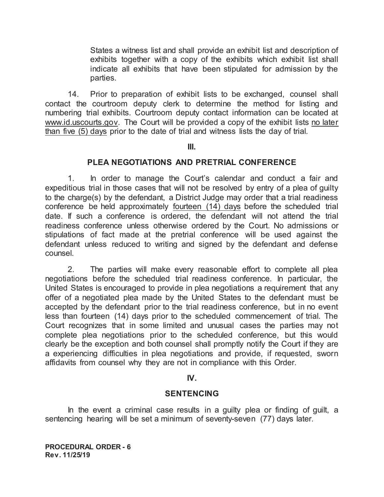States a witness list and shall provide an exhibit list and description of exhibits together with a copy of the exhibits which exhibit list shall indicate all exhibits that have been stipulated for admission by the parties.

14. Prior to preparation of exhibit lists to be exchanged, counsel shall contact the courtroom deputy clerk to determine the method for listing and numbering trial exhibits. Courtroom deputy contact information can be located at www.id.uscourts.gov. The Court will be provided a copy of the exhibit lists no later than five (5) days prior to the date of trial and witness lists the day of trial.

#### **III.**

## **PLEA NEGOTIATIONS AND PRETRIAL CONFERENCE**

1. In order to manage the Court's calendar and conduct a fair and expeditious trial in those cases that will not be resolved by entry of a plea of guilty to the charge(s) by the defendant, a District Judge may order that a trial readiness conference be held approximately fourteen (14) days before the scheduled trial date. If such a conference is ordered, the defendant will not attend the trial readiness conference unless otherwise ordered by the Court. No admissions or stipulations of fact made at the pretrial conference will be used against the defendant unless reduced to writing and signed by the defendant and defense counsel.

2. The parties will make every reasonable effort to complete all plea negotiations before the scheduled trial readiness conference. In particular, the United States is encouraged to provide in plea negotiations a requirement that any offer of a negotiated plea made by the United States to the defendant must be accepted by the defendant prior to the trial readiness conference, but in no event less than fourteen (14) days prior to the scheduled commencement of trial. The Court recognizes that in some limited and unusual cases the parties may not complete plea negotiations prior to the scheduled conference, but this would clearly be the exception and both counsel shall promptly notify the Court if they are a experiencing difficulties in plea negotiations and provide, if requested, sworn affidavits from counsel why they are not in compliance with this Order.

### **IV.**

### **SENTENCING**

In the event a criminal case results in a guilty plea or finding of guilt, a sentencing hearing will be set a minimum of seventy-seven (77) days later.

**PROCEDURAL ORDER - 6 Rev. 11/25/19**